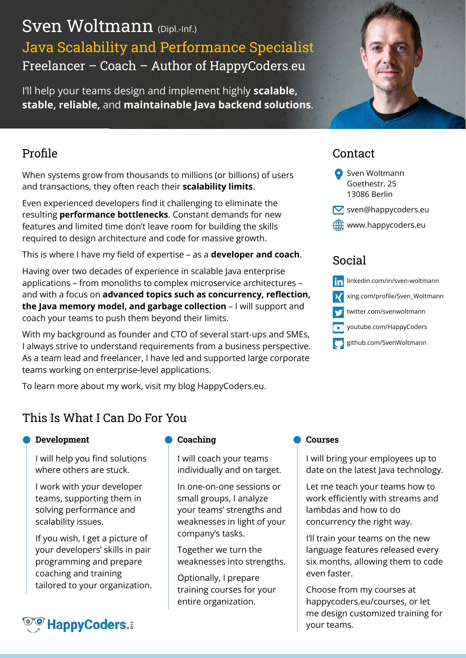# Sven Woltmann (Dipl.-Inf.) Java Scalability and Performance Specialist Freelancer – Coach – Author of HappyCoders.eu

I'll help your teams design and implement highly **scalable, stable, reliable,** and **maintainable Java backend solutions**.

## Profile

When systems grow from thousands to millions (or billions) of users and transactions, they often reach their **scalability limits**.

Even experienced developers find it challenging to eliminate the resulting **performance bottlenecks**. Constant demands for new features and limited time don't leave room for building the skills required to design architecture and code for massive growth.

This is where I have my field of expertise – as a **developer and coach**.

Having over two decades of experience in scalable Java enterprise applications – from monoliths to complex microservice architectures – and with a focus on **advanced topics such as concurrency, reflection, the Java memory model, and garbage collection** – I will support and coach your teams to push them beyond their limits.

With my background as founder and CTO of several start-ups and SMEs, I always strive to understand requirements from a business perspective. As a team lead and freelancer, I have led and supported large corporate teams working on enterprise-level applications.

To learn more about my work, visit my blog HappyCoders.eu.

## Contact

- **O** Sven Woltmann Goethestr. 25 13086 Berlin
- sven@happycoders.eu
- **ED** www.happycoders.eu

## Social



## This Is What I Can Do For You

#### **Development**

I will help you find solutions where others are stuck.

I work with your developer teams, supporting them in solving performance and scalability issues.

If you wish, I get a picture of your developers' skills in pair programming and prepare coaching and training tailored to your organization.

# **OO HappyCoders.**

## **Coaching**

I will coach your teams individually and on target.

In one-on-one sessions or small groups, I analyze your teams' strengths and weaknesses in light of your company's tasks.

Together we turn the weaknesses into strengths.

Optionally, I prepare training courses for your entire organization.

#### **Courses**

I will bring your employees up to date on the latest Java technology.

Let me teach your teams how to work efficiently with streams and lambdas and how to do concurrency the right way.

I'll train your teams on the new language features released every six months, allowing them to code even faster.

Choose from my courses at happycoders.eu/courses, or let me design customized training for your teams.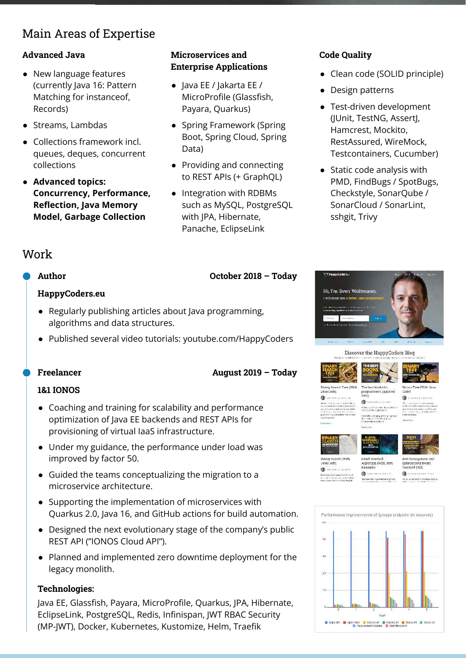## Main Areas of Expertise

#### **Advanced Java**

- New language features (currently Java 16: Pattern Matching for instanceof, Records)
- Streams, Lambdas
- Collections framework incl. queues, deques, concurrent collections
- **● Advanced topics: Concurrency, Performance, Reflection, Java Memory Model, Garbage Collection**

## **Microservices and Enterprise Applications**

- Java EE / Jakarta EE / MicroProfile (Glassfish, Payara, Quarkus)
- Spring Framework (Spring Boot, Spring Cloud, Spring Data)
- Providing and connecting to REST APIs (+ GraphQL)
- Integration with RDBMs such as MySQL, PostgreSQL with JPA, Hibernate, Panache, EclipseLink

**August 2019 – Today**

**October 2018 – Today**

#### **Code Quality**

- Clean code (SOLID principle)
- Design patterns
- Test-driven development (JUnit, TestNG, AssertJ, Hamcrest, Mockito, RestAssured, WireMock, Testcontainers, Cucumber)
- Static code analysis with PMD, FindBugs / SpotBugs, Checkstyle, SonarQube / SonarCloud / SonarLint, sshgit, Trivy

## Work

#### **Author**

#### **HappyCoders.eu**

- Regularly publishing articles about Java programming, algorithms and data structures.
- Published several video tutorials: youtube.com/HappyCoders

#### **Freelancer**

#### **1&1 IONOS**

- Coaching and training for scalability and performance optimization of Java EE backends and REST APIs for provisioning of virtual IaaS infrastructure.
- Under my guidance, the performance under load was improved by factor 50.
- Guided the teams conceptualizing the migration to a microservice architecture.
- Supporting the implementation of microservices with Quarkus 2.0, Java 16, and GitHub actions for build automation.
- Designed the next evolutionary stage of the company's public REST API ("IONOS Cloud API").
- Planned and implemented zero downtime deployment for the legacy monolith.

#### **Technologies:**

Java EE, Glassfish, Payara, MicroProfile, Quarkus, JPA, Hibernate, EclipseLink, PostgreSQL, Redis, Infinispan, JWT RBAC Security (MP-JWT), Docker, Kubernetes, Kustomize, Helm, Traefik



#### Discover the HappyCoders Blog



ø

Binary Tree (With Java<br>Code)

The best books for<br>programmers (updated<br>2021)  $\ddot{a}$ -<br>India 2008, Los son classifications<br>International computers of

isskocene programming i gar<br>Listikopolitike bild och

Sinary Search (With<br>Java Code)  $\bullet$  -non-color **O** GNOVANNO SERVICE Novidos d'espassaren activitats la<br>ser casa d'as propre i aginer Mad<br>Novi committe de la casa d'ar

Floyd Warshall<br>Algorithm (With Java<br>Example)

low does the  $\Gamma$  sydemics and a gas show.

**Best Management and<br>Entrepreneur Books**<br>(updated 2021) **C** EVEN EXECUTIVE

De Soul et avenue de rei longer werd op.<br>Investigation en met aven forbet en vert

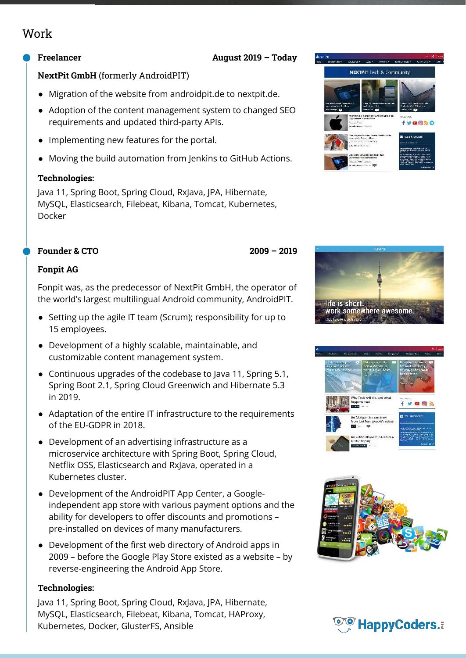## Work

#### **Freelancer**

#### **August 2019 – Today**

**2009 – 2019**

#### **NextPit GmbH** (formerly AndroidPIT)

- Migration of the website from androidpit.de to nextpit.de.
- Adoption of the content management system to changed SEO requirements and updated third-party APIs.
- Implementing new features for the portal.
- Moving the build automation from Jenkins to GitHub Actions.

#### **Technologies:**

Java 11, Spring Boot, Spring Cloud, RxJava, JPA, Hibernate, MySQL, Elasticsearch, Filebeat, Kibana, Tomcat, Kubernetes, Docker

#### **Founder & CTO**

#### **Fonpit AG**

Fonpit was, as the predecessor of NextPit GmbH, the operator of the world's largest multilingual Android community, AndroidPIT.

- Setting up the agile IT team (Scrum); responsibility for up to 15 employees.
- Development of a highly scalable, maintainable, and customizable content management system.
- Continuous upgrades of the codebase to Java 11, Spring 5.1, Spring Boot 2.1, Spring Cloud Greenwich and Hibernate 5.3 in 2019.
- Adaptation of the entire IT infrastructure to the requirements of the EU-GDPR in 2018.
- Development of an advertising infrastructure as a microservice architecture with Spring Boot, Spring Cloud, Netflix OSS, Elasticsearch and RxJava, operated in a Kubernetes cluster.
- Development of the AndroidPIT App Center, a Googleindependent app store with various payment options and the ability for developers to offer discounts and promotions – pre-installed on devices of many manufacturers.
- Development of the first web directory of Android apps in 2009 – before the Google Play Store existed as a website – by reverse-engineering the Android App Store.

#### **Technologies:**

Java 11, Spring Boot, Spring Cloud, RxJava, JPA, Hibernate, MySQL, Elasticsearch, Filebeat, Kibana, Tomcat, HAProxy, Kubernetes, Docker, GlusterFS, Ansible









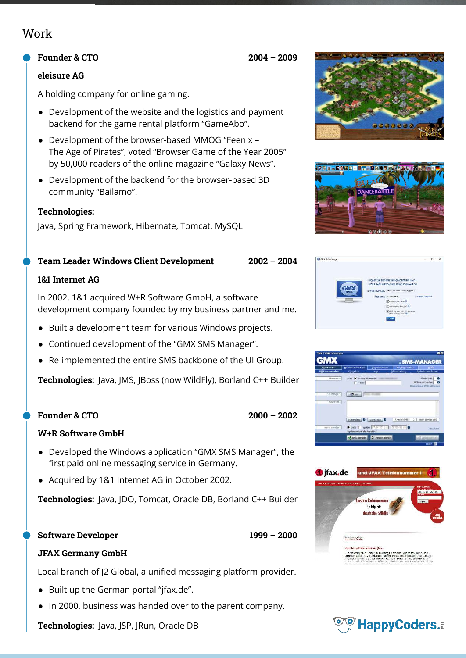## Work

#### **Founder & CTO**

#### **eleisure AG**

A holding company for online gaming.

- Development of the website and the logistics and payment backend for the game rental platform "GameAbo".
- Development of the browser-based MMOG "Feenix The Age of Pirates", voted "Browser Game of the Year 2005" by 50,000 readers of the online magazine "Galaxy News".
- Development of the backend for the browser-based 3D community "Bailamo".

#### **Technologies:**

Java, Spring Framework, Hibernate, Tomcat, MySQL

#### **Team Leader Windows Client Development**

#### **1&1 Internet AG**

In 2002, 1&1 acquired W+R Software GmbH, a software development company founded by my business partner and me.

- Built a development team for various Windows projects.
- Continued development of the "GMX SMS Manager".
- Re-implemented the entire SMS backbone of the UI Group.

**Technologies:** Java, JMS, JBoss (now WildFly), Borland C++ Builder

#### **Founder & CTO**

#### **W+R Software GmbH**

- Developed the Windows application "GMX SMS Manager", the first paid online messaging service in Germany.
- Acquired by 1&1 Internet AG in October 2002.

**Technologies:** Java, JDO, Tomcat, Oracle DB, Borland C++ Builder

#### **Software Developer**

#### **JFAX Germany GmbH**

Local branch of J2 Global, a unified messaging platform provider.

- Built up the German portal "jfax.de".
- In 2000, business was handed over to the parent company.

**Technologies:** Java, JSP, JRun, Oracle DB





| <b>Startseite</b>    | Kommunikation                  | <b>Organisation</b>                                       | Konfiguration  | <b>Hilfs</b>                                              |
|----------------------|--------------------------------|-----------------------------------------------------------|----------------|-----------------------------------------------------------|
| <b>SMS</b> versenden | <b>Klinipelton</b>             | Login                                                     | Bildmitteilung | Bildschirmschoner                                         |
| Absender:            | Von: O Neine Nummer:<br>Tenti  |                                                           |                | Flash-SHS<br>Offine schreibert<br>Kosteriuse SHS abfragen |
| Empfänger:           | <b>AD</b> An                   |                                                           |                |                                                           |
| Nachricht:           |                                |                                                           |                |                                                           |
|                      |                                |                                                           |                |                                                           |
|                      | Platzhalter   O   Morgaben   O |                                                           | Anzahl SHS:    | Noch übrig: 160<br>$a -$                                  |
| warm sanden:         | "gelten nicht als FreeSNS      | $\bullet$ yets $\bullet$ spater 07.04.2011 - 00:05:01 - 0 |                | President                                                 |
|                      |                                |                                                           |                |                                                           |





**2004 – 2009**

**2002 – 2004**

**2000 – 2002**

**1999 – 2000**